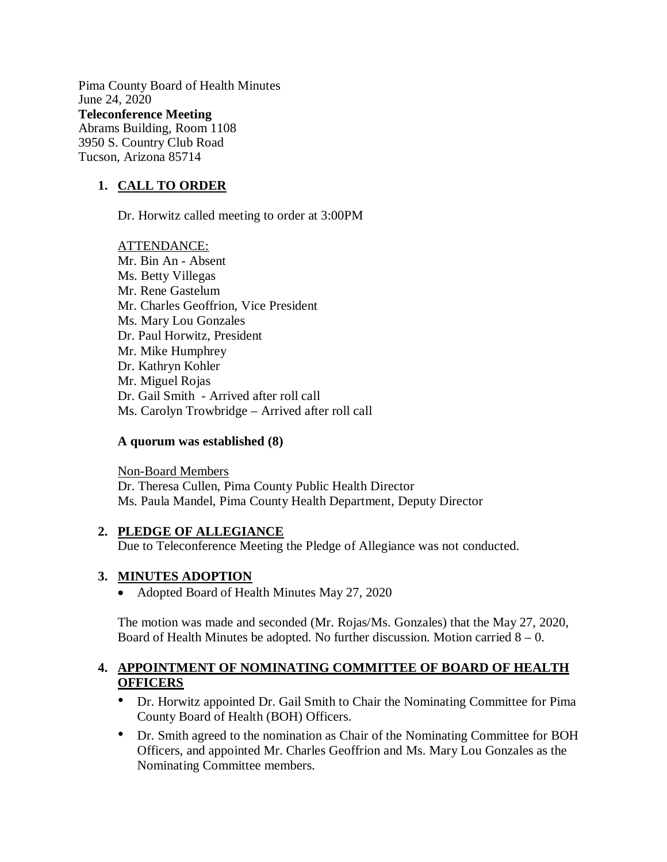Pima County Board of Health Minutes June 24, 2020 **Teleconference Meeting**  Abrams Building, Room 1108 3950 S. Country Club Road Tucson, Arizona 85714

# **1. CALL TO ORDER**

Dr. Horwitz called meeting to order at 3:00PM

ATTENDANCE: Mr. Bin An - Absent Ms. Betty Villegas Mr. Rene Gastelum Mr. Charles Geoffrion, Vice President Ms. Mary Lou Gonzales Dr. Paul Horwitz, President Mr. Mike Humphrey Dr. Kathryn Kohler Mr. Miguel Rojas Dr. Gail Smith - Arrived after roll call Ms. Carolyn Trowbridge – Arrived after roll call

### **A quorum was established (8)**

Non-Board Members Dr. Theresa Cullen, Pima County Public Health Director Ms. Paula Mandel, Pima County Health Department, Deputy Director

### **2. PLEDGE OF ALLEGIANCE**

Due to Teleconference Meeting the Pledge of Allegiance was not conducted.

### **3. MINUTES ADOPTION**

• Adopted Board of Health Minutes May 27, 2020

The motion was made and seconded (Mr. Rojas/Ms. Gonzales) that the May 27, 2020, Board of Health Minutes be adopted. No further discussion. Motion carried  $8 - 0$ .

## **4. APPOINTMENT OF NOMINATING COMMITTEE OF BOARD OF HEALTH OFFICERS**

- Dr. Horwitz appointed Dr. Gail Smith to Chair the Nominating Committee for Pima County Board of Health (BOH) Officers.
- Dr. Smith agreed to the nomination as Chair of the Nominating Committee for BOH Officers, and appointed Mr. Charles Geoffrion and Ms. Mary Lou Gonzales as the Nominating Committee members.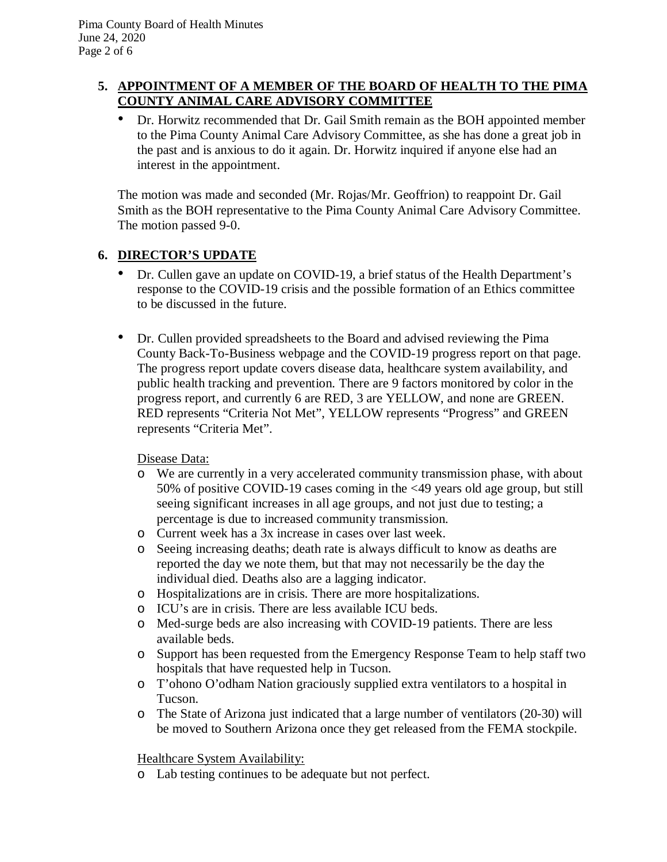## **5. APPOINTMENT OF A MEMBER OF THE BOARD OF HEALTH TO THE PIMA COUNTY ANIMAL CARE ADVISORY COMMITTEE**

• Dr. Horwitz recommended that Dr. Gail Smith remain as the BOH appointed member to the Pima County Animal Care Advisory Committee, as she has done a great job in the past and is anxious to do it again. Dr. Horwitz inquired if anyone else had an interest in the appointment.

The motion was made and seconded (Mr. Rojas/Mr. Geoffrion) to reappoint Dr. Gail Smith as the BOH representative to the Pima County Animal Care Advisory Committee. The motion passed 9-0.

## **6. DIRECTOR'S UPDATE**

- Dr. Cullen gave an update on COVID-19, a brief status of the Health Department's response to the COVID-19 crisis and the possible formation of an Ethics committee to be discussed in the future.
- Dr. Cullen provided spreadsheets to the Board and advised reviewing the Pima County Back-To-Business webpage and the COVID-19 progress report on that page. The progress report update covers disease data, healthcare system availability, and public health tracking and prevention. There are 9 factors monitored by color in the progress report, and currently 6 are RED, 3 are YELLOW, and none are GREEN. RED represents "Criteria Not Met", YELLOW represents "Progress" and GREEN represents "Criteria Met".

Disease Data:

- o We are currently in a very accelerated community transmission phase, with about 50% of positive COVID-19 cases coming in the <49 years old age group, but still seeing significant increases in all age groups, and not just due to testing; a percentage is due to increased community transmission.
- o Current week has a 3x increase in cases over last week.
- o Seeing increasing deaths; death rate is always difficult to know as deaths are reported the day we note them, but that may not necessarily be the day the individual died. Deaths also are a lagging indicator.
- o Hospitalizations are in crisis. There are more hospitalizations.
- o ICU's are in crisis. There are less available ICU beds.
- o Med-surge beds are also increasing with COVID-19 patients. There are less available beds.
- o Support has been requested from the Emergency Response Team to help staff two hospitals that have requested help in Tucson.
- o T'ohono O'odham Nation graciously supplied extra ventilators to a hospital in Tucson.
- o The State of Arizona just indicated that a large number of ventilators (20-30) will be moved to Southern Arizona once they get released from the FEMA stockpile.

Healthcare System Availability:

o Lab testing continues to be adequate but not perfect.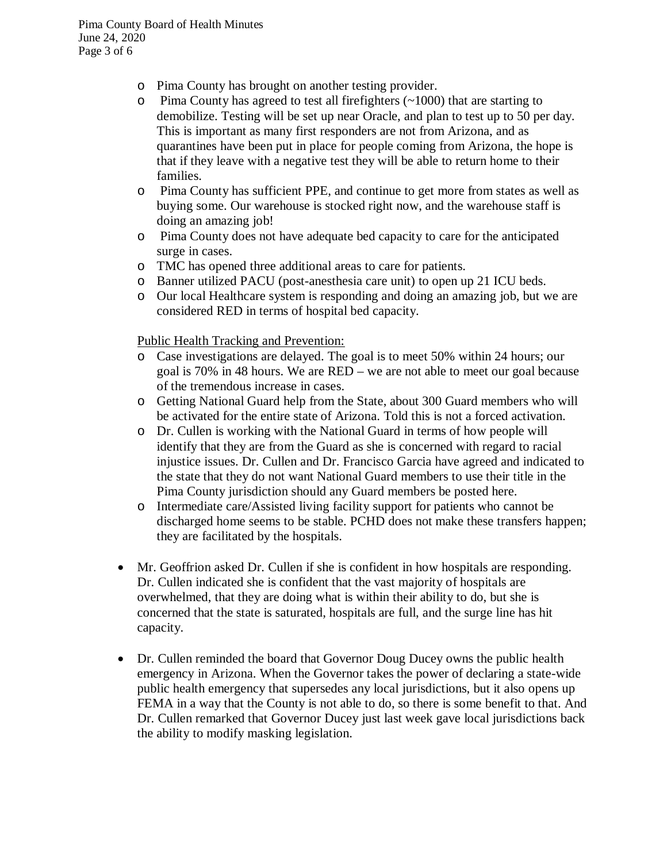- o Pima County has brought on another testing provider.
- o Pima County has agreed to test all firefighters (~1000) that are starting to demobilize. Testing will be set up near Oracle, and plan to test up to 50 per day. This is important as many first responders are not from Arizona, and as quarantines have been put in place for people coming from Arizona, the hope is that if they leave with a negative test they will be able to return home to their families.
- o Pima County has sufficient PPE, and continue to get more from states as well as buying some. Our warehouse is stocked right now, and the warehouse staff is doing an amazing job!
- o Pima County does not have adequate bed capacity to care for the anticipated surge in cases.
- o TMC has opened three additional areas to care for patients.
- o Banner utilized PACU (post-anesthesia care unit) to open up 21 ICU beds.
- o Our local Healthcare system is responding and doing an amazing job, but we are considered RED in terms of hospital bed capacity.

Public Health Tracking and Prevention:

- o Case investigations are delayed. The goal is to meet 50% within 24 hours; our goal is 70% in 48 hours. We are RED – we are not able to meet our goal because of the tremendous increase in cases.
- o Getting National Guard help from the State, about 300 Guard members who will be activated for the entire state of Arizona. Told this is not a forced activation.
- o Dr. Cullen is working with the National Guard in terms of how people will identify that they are from the Guard as she is concerned with regard to racial injustice issues. Dr. Cullen and Dr. Francisco Garcia have agreed and indicated to the state that they do not want National Guard members to use their title in the Pima County jurisdiction should any Guard members be posted here.
- o Intermediate care/Assisted living facility support for patients who cannot be discharged home seems to be stable. PCHD does not make these transfers happen; they are facilitated by the hospitals.
- Mr. Geoffrion asked Dr. Cullen if she is confident in how hospitals are responding. Dr. Cullen indicated she is confident that the vast majority of hospitals are overwhelmed, that they are doing what is within their ability to do, but she is concerned that the state is saturated, hospitals are full, and the surge line has hit capacity.
- Dr. Cullen reminded the board that Governor Doug Ducey owns the public health emergency in Arizona. When the Governor takes the power of declaring a state-wide public health emergency that supersedes any local jurisdictions, but it also opens up FEMA in a way that the County is not able to do, so there is some benefit to that. And Dr. Cullen remarked that Governor Ducey just last week gave local jurisdictions back the ability to modify masking legislation.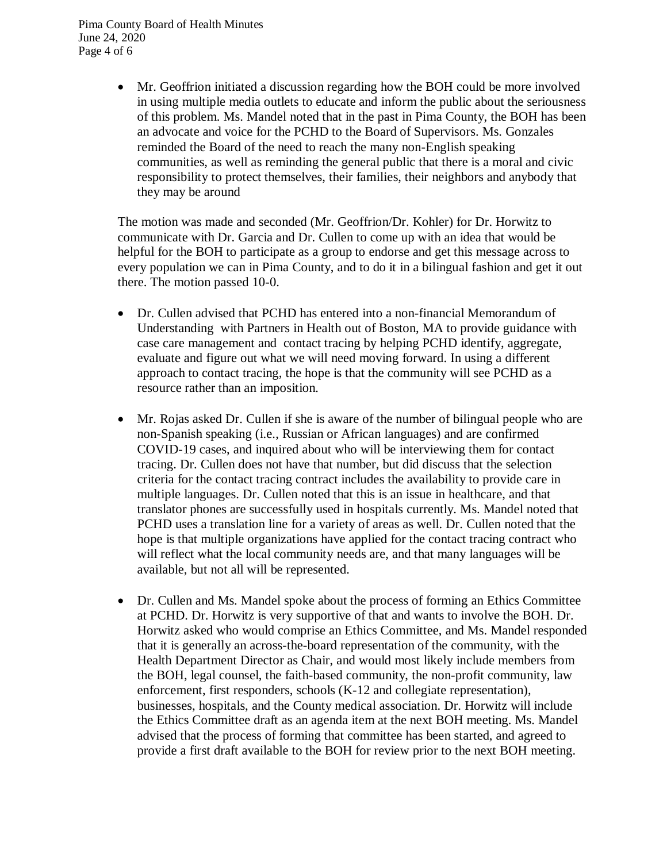Pima County Board of Health Minutes June 24, 2020 Page 4 of 6

> Mr. Geoffrion initiated a discussion regarding how the BOH could be more involved in using multiple media outlets to educate and inform the public about the seriousness of this problem. Ms. Mandel noted that in the past in Pima County, the BOH has been an advocate and voice for the PCHD to the Board of Supervisors. Ms. Gonzales reminded the Board of the need to reach the many non-English speaking communities, as well as reminding the general public that there is a moral and civic responsibility to protect themselves, their families, their neighbors and anybody that they may be around

> The motion was made and seconded (Mr. Geoffrion/Dr. Kohler) for Dr. Horwitz to communicate with Dr. Garcia and Dr. Cullen to come up with an idea that would be helpful for the BOH to participate as a group to endorse and get this message across to every population we can in Pima County, and to do it in a bilingual fashion and get it out there. The motion passed 10-0.

- Dr. Cullen advised that PCHD has entered into a non-financial Memorandum of Understanding with Partners in Health out of Boston, MA to provide guidance with case care management and contact tracing by helping PCHD identify, aggregate, evaluate and figure out what we will need moving forward. In using a different approach to contact tracing, the hope is that the community will see PCHD as a resource rather than an imposition.
- Mr. Rojas asked Dr. Cullen if she is aware of the number of bilingual people who are non-Spanish speaking (i.e., Russian or African languages) and are confirmed COVID-19 cases, and inquired about who will be interviewing them for contact tracing. Dr. Cullen does not have that number, but did discuss that the selection criteria for the contact tracing contract includes the availability to provide care in multiple languages. Dr. Cullen noted that this is an issue in healthcare, and that translator phones are successfully used in hospitals currently. Ms. Mandel noted that PCHD uses a translation line for a variety of areas as well. Dr. Cullen noted that the hope is that multiple organizations have applied for the contact tracing contract who will reflect what the local community needs are, and that many languages will be available, but not all will be represented.
- Dr. Cullen and Ms. Mandel spoke about the process of forming an Ethics Committee at PCHD. Dr. Horwitz is very supportive of that and wants to involve the BOH. Dr. Horwitz asked who would comprise an Ethics Committee, and Ms. Mandel responded that it is generally an across-the-board representation of the community, with the Health Department Director as Chair, and would most likely include members from the BOH, legal counsel, the faith-based community, the non-profit community, law enforcement, first responders, schools (K-12 and collegiate representation), businesses, hospitals, and the County medical association. Dr. Horwitz will include the Ethics Committee draft as an agenda item at the next BOH meeting. Ms. Mandel advised that the process of forming that committee has been started, and agreed to provide a first draft available to the BOH for review prior to the next BOH meeting.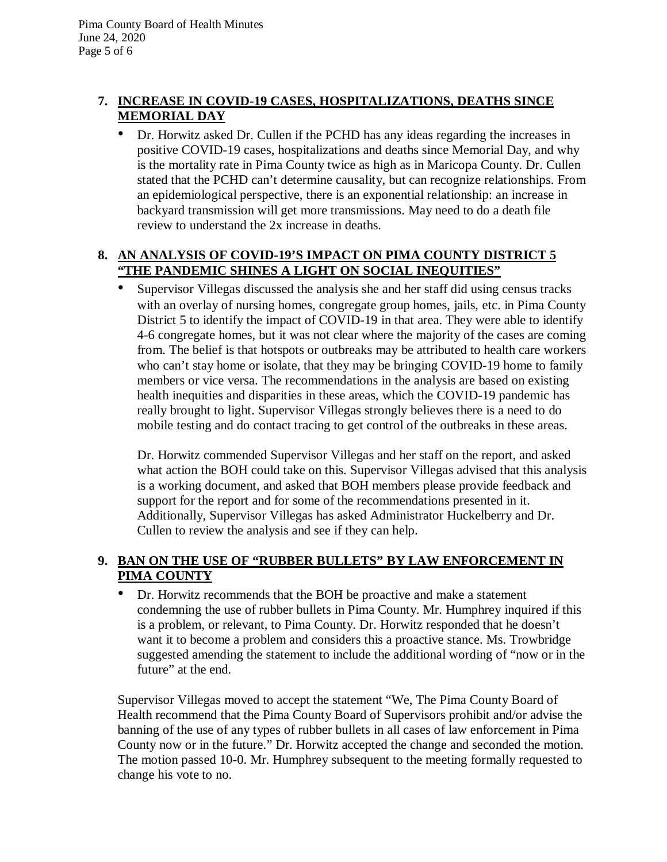# **7. INCREASE IN COVID-19 CASES, HOSPITALIZATIONS, DEATHS SINCE MEMORIAL DAY**

• Dr. Horwitz asked Dr. Cullen if the PCHD has any ideas regarding the increases in positive COVID-19 cases, hospitalizations and deaths since Memorial Day, and why is the mortality rate in Pima County twice as high as in Maricopa County. Dr. Cullen stated that the PCHD can't determine causality, but can recognize relationships. From an epidemiological perspective, there is an exponential relationship: an increase in backyard transmission will get more transmissions. May need to do a death file review to understand the 2x increase in deaths.

# **8. AN ANALYSIS OF COVID-19'S IMPACT ON PIMA COUNTY DISTRICT 5 "THE PANDEMIC SHINES A LIGHT ON SOCIAL INEQUITIES"**

• Supervisor Villegas discussed the analysis she and her staff did using census tracks with an overlay of nursing homes, congregate group homes, jails, etc. in Pima County District 5 to identify the impact of COVID-19 in that area. They were able to identify 4-6 congregate homes, but it was not clear where the majority of the cases are coming from. The belief is that hotspots or outbreaks may be attributed to health care workers who can't stay home or isolate, that they may be bringing COVID-19 home to family members or vice versa. The recommendations in the analysis are based on existing health inequities and disparities in these areas, which the COVID-19 pandemic has really brought to light. Supervisor Villegas strongly believes there is a need to do mobile testing and do contact tracing to get control of the outbreaks in these areas.

Dr. Horwitz commended Supervisor Villegas and her staff on the report, and asked what action the BOH could take on this. Supervisor Villegas advised that this analysis is a working document, and asked that BOH members please provide feedback and support for the report and for some of the recommendations presented in it. Additionally, Supervisor Villegas has asked Administrator Huckelberry and Dr. Cullen to review the analysis and see if they can help.

# **9. BAN ON THE USE OF "RUBBER BULLETS" BY LAW ENFORCEMENT IN PIMA COUNTY**

• Dr. Horwitz recommends that the BOH be proactive and make a statement condemning the use of rubber bullets in Pima County. Mr. Humphrey inquired if this is a problem, or relevant, to Pima County. Dr. Horwitz responded that he doesn't want it to become a problem and considers this a proactive stance. Ms. Trowbridge suggested amending the statement to include the additional wording of "now or in the future" at the end.

Supervisor Villegas moved to accept the statement "We, The Pima County Board of Health recommend that the Pima County Board of Supervisors prohibit and/or advise the banning of the use of any types of rubber bullets in all cases of law enforcement in Pima County now or in the future." Dr. Horwitz accepted the change and seconded the motion. The motion passed 10-0. Mr. Humphrey subsequent to the meeting formally requested to change his vote to no.